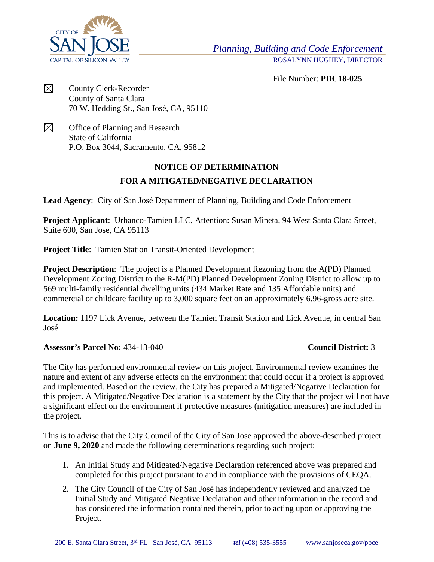

File Number: **PDC18-025**

 $\boxtimes$ County Clerk-Recorder County of Santa Clara 70 W. Hedding St., San José, CA, 95110

 $\boxtimes$ Office of Planning and Research State of California P.O. Box 3044, Sacramento, CA, 95812

## **NOTICE OF DETERMINATION**

## **FOR A MITIGATED/NEGATIVE DECLARATION**

**Lead Agency**:City of San José Department of Planning, Building and Code Enforcement

**Project Applicant**: Urbanco-Tamien LLC, Attention: Susan Mineta, 94 West Santa Clara Street, Suite 600, San Jose, CA 95113

**Project Title**: Tamien Station Transit-Oriented Development

**Project Description:** The project is a Planned Development Rezoning from the A(PD) Planned Development Zoning District to the R-M(PD) Planned Development Zoning District to allow up to 569 multi-family residential dwelling units (434 Market Rate and 135 Affordable units) and commercial or childcare facility up to 3,000 square feet on an approximately 6.96-gross acre site.

**Location:** 1197 Lick Avenue, between the Tamien Transit Station and Lick Avenue, in central San José

## **Assessor's Parcel No:** 434-13-040 **Council District:** 3

The City has performed environmental review on this project. Environmental review examines the nature and extent of any adverse effects on the environment that could occur if a project is approved and implemented. Based on the review, the City has prepared a Mitigated/Negative Declaration for this project. A Mitigated/Negative Declaration is a statement by the City that the project will not have a significant effect on the environment if protective measures (mitigation measures) are included in the project.

This is to advise that the City Council of the City of San Jose approved the above-described project on **June 9, 2020** and made the following determinations regarding such project:

- 1. An Initial Study and Mitigated/Negative Declaration referenced above was prepared and completed for this project pursuant to and in compliance with the provisions of CEQA.
- 2. The City Council of the City of San José has independently reviewed and analyzed the Initial Study and Mitigated Negative Declaration and other information in the record and has considered the information contained therein, prior to acting upon or approving the Project.